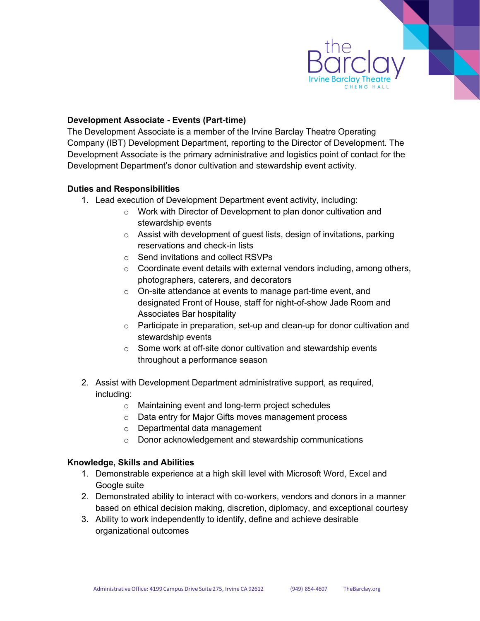

# **Development Associate - Events (Part-time)**

The Development Associate is a member of the Irvine Barclay Theatre Operating Company (IBT) Development Department, reporting to the Director of Development. The Development Associate is the primary administrative and logistics point of contact for the Development Department's donor cultivation and stewardship event activity.

# **Duties and Responsibilities**

- 1. Lead execution of Development Department event activity, including:
	- o Work with Director of Development to plan donor cultivation and stewardship events
	- o Assist with development of guest lists, design of invitations, parking reservations and check-in lists
	- o Send invitations and collect RSVPs
	- $\circ$  Coordinate event details with external vendors including, among others, photographers, caterers, and decorators
	- o On-site attendance at events to manage part-time event, and designated Front of House, staff for night-of-show Jade Room and Associates Bar hospitality
	- o Participate in preparation, set-up and clean-up for donor cultivation and stewardship events
	- o Some work at off-site donor cultivation and stewardship events throughout a performance season
- 2. Assist with Development Department administrative support, as required, including:
	- o Maintaining event and long-term project schedules
	- o Data entry for Major Gifts moves management process
	- o Departmental data management
	- o Donor acknowledgement and stewardship communications

# **Knowledge, Skills and Abilities**

- 1. Demonstrable experience at a high skill level with Microsoft Word, Excel and Google suite
- 2. Demonstrated ability to interact with co-workers, vendors and donors in a manner based on ethical decision making, discretion, diplomacy, and exceptional courtesy
- 3. Ability to work independently to identify, define and achieve desirable organizational outcomes